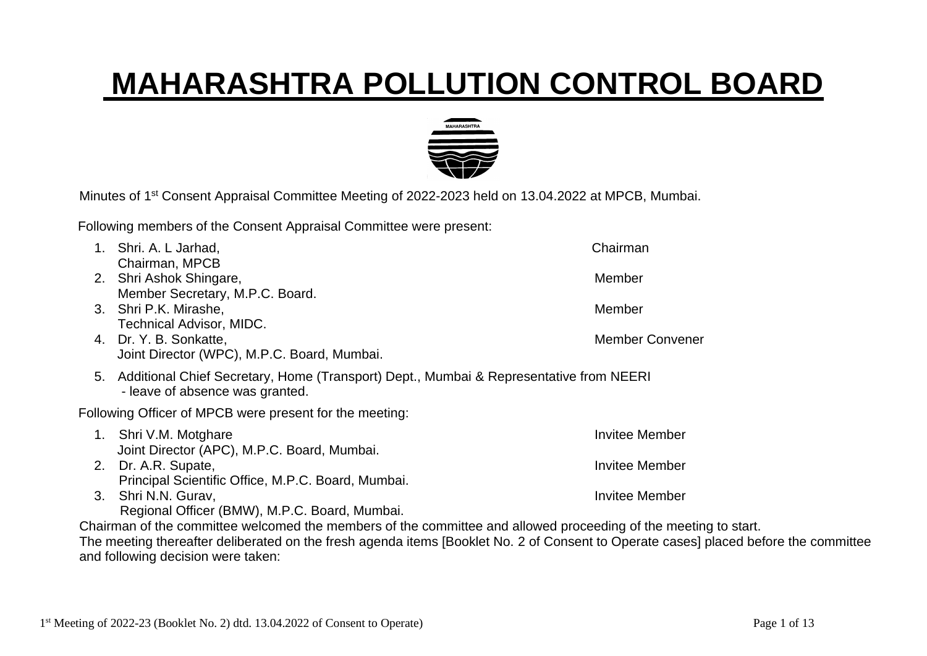## **MAHARASHTRA POLLUTION CONTROL BOARD**



Minutes of 1<sup>st</sup> Consent Appraisal Committee Meeting of 2022-2023 held on 13.04.2022 at MPCB, Mumbai.

Following members of the Consent Appraisal Committee were present:

|    | Shri. A. L Jarhad,                                                                                                        | Chairman               |
|----|---------------------------------------------------------------------------------------------------------------------------|------------------------|
|    | Chairman, MPCB                                                                                                            |                        |
| 2. | Shri Ashok Shingare,<br>Member Secretary, M.P.C. Board.                                                                   | Member                 |
| 3. | Shri P.K. Mirashe,                                                                                                        | Member                 |
|    | <b>Technical Advisor, MIDC.</b>                                                                                           |                        |
|    | 4. Dr. Y. B. Sonkatte,                                                                                                    | <b>Member Convener</b> |
|    | Joint Director (WPC), M.P.C. Board, Mumbai.                                                                               |                        |
| 5. | Additional Chief Secretary, Home (Transport) Dept., Mumbai & Representative from NEERI<br>- leave of absence was granted. |                        |
|    | Following Officer of MPCB were present for the meeting:                                                                   |                        |
| 1. | Shri V.M. Motghare                                                                                                        | Invitee Member         |
|    | Joint Director (APC), M.P.C. Board, Mumbai.                                                                               |                        |
| 2. | Dr. A.R. Supate,                                                                                                          | Invitee Member         |
|    | Principal Scientific Office, M.P.C. Board, Mumbai.                                                                        |                        |
| 3. | Shri N.N. Gurav,                                                                                                          | Invitee Member         |
|    | Regional Officer (BMW), M.P.C. Board, Mumbai.                                                                             |                        |

Chairman of the committee welcomed the members of the committee and allowed proceeding of the meeting to start. The meeting thereafter deliberated on the fresh agenda items [Booklet No. 2 of Consent to Operate cases] placed before the committee and following decision were taken: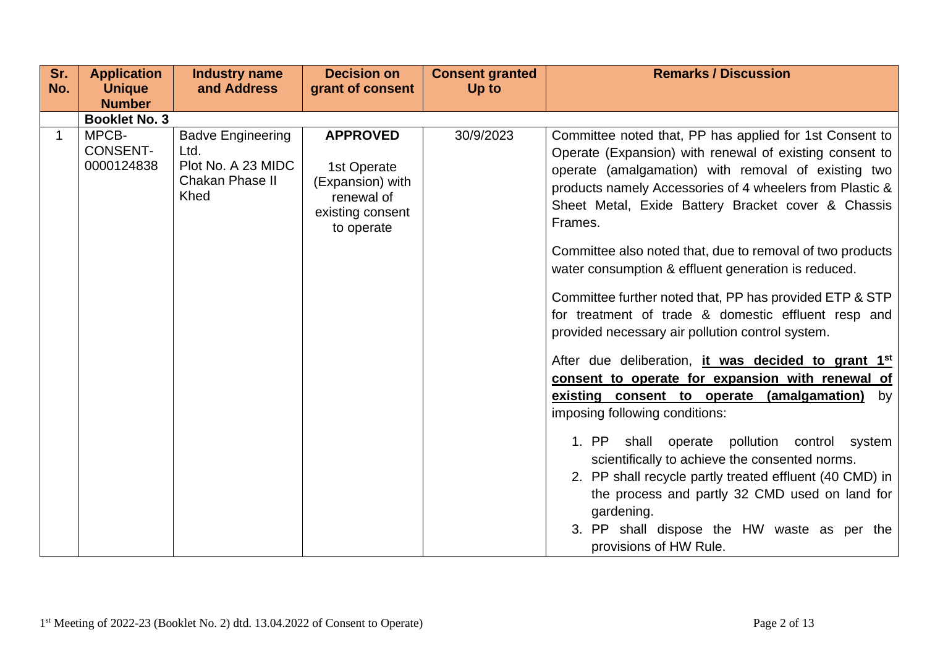| Sr.<br>No.  | <b>Application</b><br><b>Unique</b>    | <b>Industry name</b><br>and Address                                               | <b>Decision on</b><br>grant of consent                                                             | <b>Consent granted</b><br>Up to | <b>Remarks / Discussion</b>                                                                                                                                                                                                                                                                                                                                                                                                                                                                                                                                                                                                                                                                                                                                                                                                                                                                                                                                                                                                                                                                                |
|-------------|----------------------------------------|-----------------------------------------------------------------------------------|----------------------------------------------------------------------------------------------------|---------------------------------|------------------------------------------------------------------------------------------------------------------------------------------------------------------------------------------------------------------------------------------------------------------------------------------------------------------------------------------------------------------------------------------------------------------------------------------------------------------------------------------------------------------------------------------------------------------------------------------------------------------------------------------------------------------------------------------------------------------------------------------------------------------------------------------------------------------------------------------------------------------------------------------------------------------------------------------------------------------------------------------------------------------------------------------------------------------------------------------------------------|
|             | <b>Number</b>                          |                                                                                   |                                                                                                    |                                 |                                                                                                                                                                                                                                                                                                                                                                                                                                                                                                                                                                                                                                                                                                                                                                                                                                                                                                                                                                                                                                                                                                            |
|             | <b>Booklet No. 3</b>                   |                                                                                   |                                                                                                    |                                 |                                                                                                                                                                                                                                                                                                                                                                                                                                                                                                                                                                                                                                                                                                                                                                                                                                                                                                                                                                                                                                                                                                            |
| $\mathbf 1$ | MPCB-<br><b>CONSENT-</b><br>0000124838 | <b>Badve Engineering</b><br>Ltd.<br>Plot No. A 23 MIDC<br>Chakan Phase II<br>Khed | <b>APPROVED</b><br>1st Operate<br>(Expansion) with<br>renewal of<br>existing consent<br>to operate | 30/9/2023                       | Committee noted that, PP has applied for 1st Consent to<br>Operate (Expansion) with renewal of existing consent to<br>operate (amalgamation) with removal of existing two<br>products namely Accessories of 4 wheelers from Plastic &<br>Sheet Metal, Exide Battery Bracket cover & Chassis<br>Frames.<br>Committee also noted that, due to removal of two products<br>water consumption & effluent generation is reduced.<br>Committee further noted that, PP has provided ETP & STP<br>for treatment of trade & domestic effluent resp and<br>provided necessary air pollution control system.<br>After due deliberation, it was decided to grant 1st<br>consent to operate for expansion with renewal of<br>existing consent to operate (amalgamation)<br>by<br>imposing following conditions:<br>shall operate pollution control system<br>1. PP<br>scientifically to achieve the consented norms.<br>2. PP shall recycle partly treated effluent (40 CMD) in<br>the process and partly 32 CMD used on land for<br>gardening.<br>3. PP shall dispose the HW waste as per the<br>provisions of HW Rule. |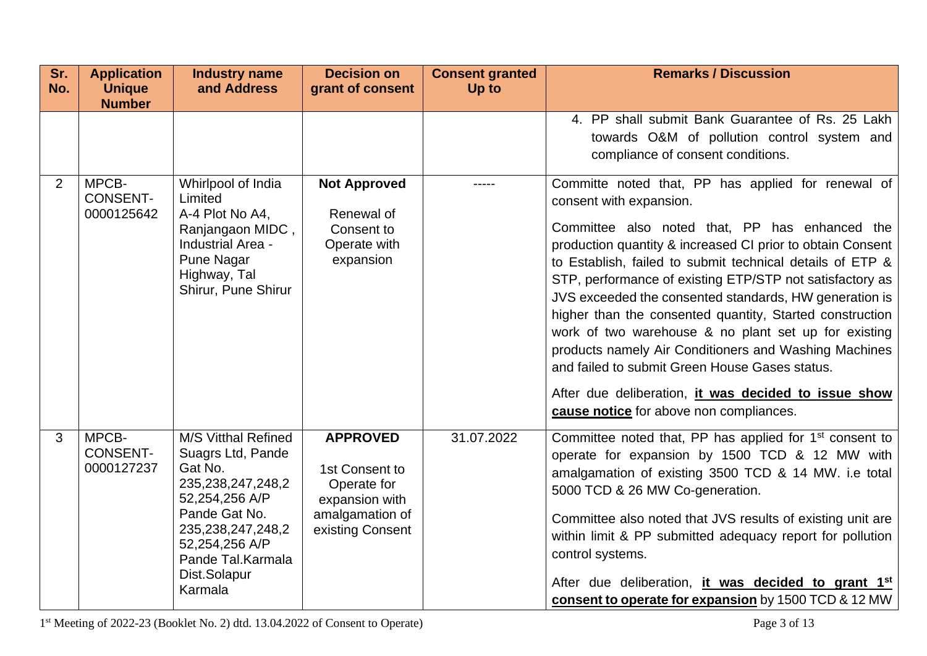| Sr.<br>No. | <b>Application</b><br><b>Unique</b>    | <b>Industry name</b><br>and Address                                                                                                                                                                           | <b>Decision on</b><br>grant of consent                                                                    | <b>Consent granted</b><br>Up to | <b>Remarks / Discussion</b>                                                                                                                                                                                                                                                                                                                                                                                                                                                                                                                                                                                                                                                                                        |
|------------|----------------------------------------|---------------------------------------------------------------------------------------------------------------------------------------------------------------------------------------------------------------|-----------------------------------------------------------------------------------------------------------|---------------------------------|--------------------------------------------------------------------------------------------------------------------------------------------------------------------------------------------------------------------------------------------------------------------------------------------------------------------------------------------------------------------------------------------------------------------------------------------------------------------------------------------------------------------------------------------------------------------------------------------------------------------------------------------------------------------------------------------------------------------|
|            | <b>Number</b>                          |                                                                                                                                                                                                               |                                                                                                           |                                 |                                                                                                                                                                                                                                                                                                                                                                                                                                                                                                                                                                                                                                                                                                                    |
|            |                                        |                                                                                                                                                                                                               |                                                                                                           |                                 | 4. PP shall submit Bank Guarantee of Rs. 25 Lakh<br>towards O&M of pollution control system and<br>compliance of consent conditions.                                                                                                                                                                                                                                                                                                                                                                                                                                                                                                                                                                               |
| 2          | MPCB-<br><b>CONSENT-</b><br>0000125642 | Whirlpool of India<br>Limited<br>A-4 Plot No A4,<br>Ranjangaon MIDC,<br>Industrial Area -<br><b>Pune Nagar</b><br>Highway, Tal<br>Shirur, Pune Shirur                                                         | <b>Not Approved</b><br>Renewal of<br>Consent to<br>Operate with<br>expansion                              | -----                           | Committe noted that, PP has applied for renewal of<br>consent with expansion.<br>Committee also noted that, PP has enhanced the<br>production quantity & increased CI prior to obtain Consent<br>to Establish, failed to submit technical details of ETP &<br>STP, performance of existing ETP/STP not satisfactory as<br>JVS exceeded the consented standards, HW generation is<br>higher than the consented quantity, Started construction<br>work of two warehouse & no plant set up for existing<br>products namely Air Conditioners and Washing Machines<br>and failed to submit Green House Gases status.<br>After due deliberation, it was decided to issue show<br>cause notice for above non compliances. |
| 3          | MPCB-<br><b>CONSENT-</b><br>0000127237 | <b>M/S Vitthal Refined</b><br>Suagrs Ltd, Pande<br>Gat No.<br>235,238,247,248,2<br>52,254,256 A/P<br>Pande Gat No.<br>235, 238, 247, 248, 2<br>52,254,256 A/P<br>Pande Tal.Karmala<br>Dist.Solapur<br>Karmala | <b>APPROVED</b><br>1st Consent to<br>Operate for<br>expansion with<br>amalgamation of<br>existing Consent | 31.07.2022                      | Committee noted that, PP has applied for 1 <sup>st</sup> consent to<br>operate for expansion by 1500 TCD & 12 MW with<br>amalgamation of existing 3500 TCD & 14 MW. i.e total<br>5000 TCD & 26 MW Co-generation.<br>Committee also noted that JVS results of existing unit are<br>within limit & PP submitted adequacy report for pollution<br>control systems.<br>After due deliberation, it was decided to grant 1st<br>consent to operate for expansion by 1500 TCD & 12 MW                                                                                                                                                                                                                                     |

1 st Meeting of 2022-23 (Booklet No. 2) dtd. 13.04.2022 of Consent to Operate) Page 3 of 13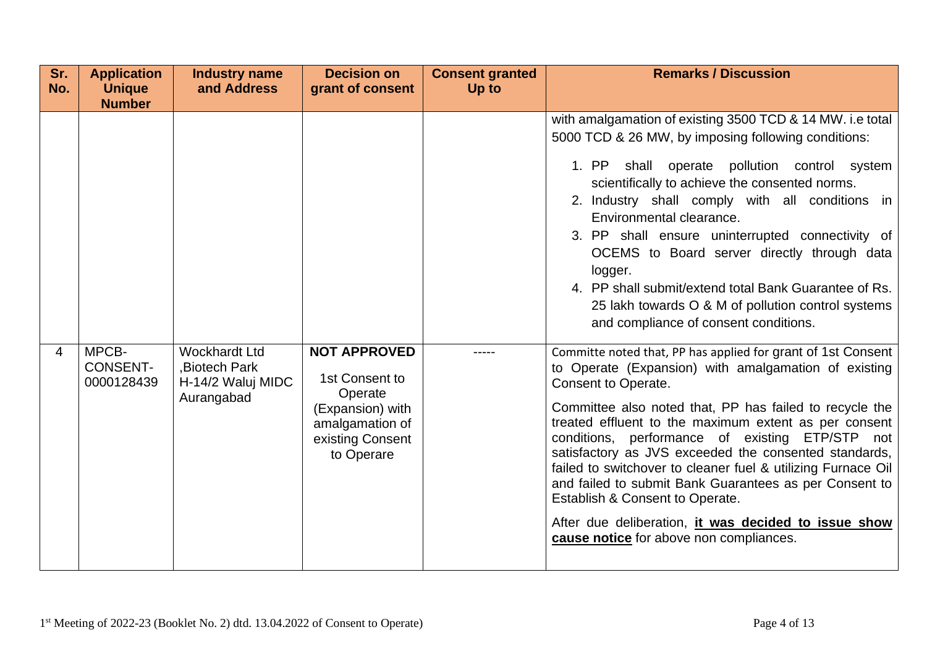| Sr.<br><b>Consent granted</b><br><b>Application</b><br><b>Industry name</b><br><b>Decision on</b><br>No.<br>and Address<br>Up to<br><b>Unique</b><br>grant of consent<br><b>Number</b>                                                                                  | <b>Remarks / Discussion</b>                                                                                                                                                                                                                                                                                                                                                                                                                                                                                                                                                                                                                                                                                                                                                                                                                                                                                                                                                                                                                                                                                                                                                                                            |
|-------------------------------------------------------------------------------------------------------------------------------------------------------------------------------------------------------------------------------------------------------------------------|------------------------------------------------------------------------------------------------------------------------------------------------------------------------------------------------------------------------------------------------------------------------------------------------------------------------------------------------------------------------------------------------------------------------------------------------------------------------------------------------------------------------------------------------------------------------------------------------------------------------------------------------------------------------------------------------------------------------------------------------------------------------------------------------------------------------------------------------------------------------------------------------------------------------------------------------------------------------------------------------------------------------------------------------------------------------------------------------------------------------------------------------------------------------------------------------------------------------|
| MPCB-<br><b>Wockhardt Ltd</b><br><b>NOT APPROVED</b><br>$\overline{4}$<br><b>CONSENT-</b><br><b>Biotech Park</b><br>1st Consent to<br>0000128439<br>H-14/2 Waluj MIDC<br>Operate<br>Aurangabad<br>(Expansion) with<br>amalgamation of<br>existing Consent<br>to Operare | with amalgamation of existing 3500 TCD & 14 MW. i.e total<br>5000 TCD & 26 MW, by imposing following conditions:<br>1. PP shall operate pollution control system<br>scientifically to achieve the consented norms.<br>2. Industry shall comply with all conditions in<br>Environmental clearance.<br>3. PP shall ensure uninterrupted connectivity of<br>OCEMS to Board server directly through data<br>logger.<br>4. PP shall submit/extend total Bank Guarantee of Rs.<br>25 lakh towards O & M of pollution control systems<br>and compliance of consent conditions.<br>Committe noted that, PP has applied for grant of 1st Consent<br>to Operate (Expansion) with amalgamation of existing<br>Consent to Operate.<br>Committee also noted that, PP has failed to recycle the<br>treated effluent to the maximum extent as per consent<br>conditions, performance of existing ETP/STP not<br>satisfactory as JVS exceeded the consented standards,<br>failed to switchover to cleaner fuel & utilizing Furnace Oil<br>and failed to submit Bank Guarantees as per Consent to<br>Establish & Consent to Operate.<br>After due deliberation, it was decided to issue show<br>cause notice for above non compliances. |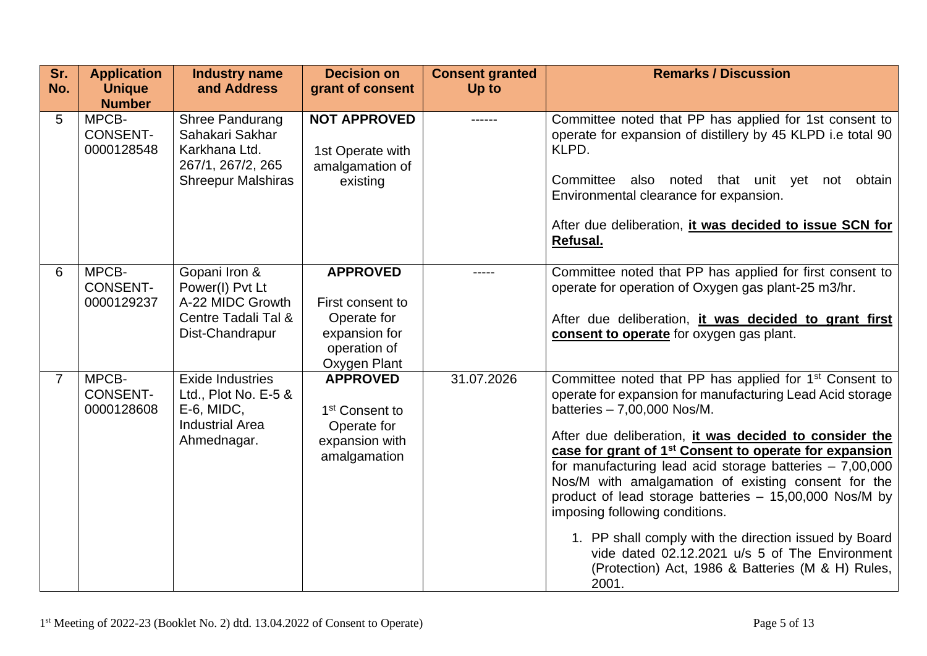| Sr.<br>No.     | <b>Application</b><br><b>Unique</b><br><b>Number</b> | <b>Industry name</b><br>and Address                                                                    | <b>Decision on</b><br>grant of consent                                                              | <b>Consent granted</b><br>Up to | <b>Remarks / Discussion</b>                                                                                                                                                                                                                                                                                                                                                                                                                                                                                                                                                                                                                                                             |
|----------------|------------------------------------------------------|--------------------------------------------------------------------------------------------------------|-----------------------------------------------------------------------------------------------------|---------------------------------|-----------------------------------------------------------------------------------------------------------------------------------------------------------------------------------------------------------------------------------------------------------------------------------------------------------------------------------------------------------------------------------------------------------------------------------------------------------------------------------------------------------------------------------------------------------------------------------------------------------------------------------------------------------------------------------------|
| 5              | MPCB-<br><b>CONSENT-</b><br>0000128548               | Shree Pandurang<br>Sahakari Sakhar<br>Karkhana Ltd.<br>267/1, 267/2, 265<br><b>Shreepur Malshiras</b>  | <b>NOT APPROVED</b><br>1st Operate with<br>amalgamation of<br>existing                              |                                 | Committee noted that PP has applied for 1st consent to<br>operate for expansion of distillery by 45 KLPD i.e total 90<br>KLPD.<br>Committee<br>noted that unit yet<br>also<br>obtain<br>not<br>Environmental clearance for expansion.<br>After due deliberation, it was decided to issue SCN for<br>Refusal.                                                                                                                                                                                                                                                                                                                                                                            |
| 6              | MPCB-<br><b>CONSENT-</b><br>0000129237               | Gopani Iron &<br>Power(I) Pvt Lt<br>A-22 MIDC Growth<br>Centre Tadali Tal &<br>Dist-Chandrapur         | <b>APPROVED</b><br>First consent to<br>Operate for<br>expansion for<br>operation of<br>Oxygen Plant |                                 | Committee noted that PP has applied for first consent to<br>operate for operation of Oxygen gas plant-25 m3/hr.<br>After due deliberation, it was decided to grant first<br>consent to operate for oxygen gas plant.                                                                                                                                                                                                                                                                                                                                                                                                                                                                    |
| $\overline{7}$ | MPCB-<br><b>CONSENT-</b><br>0000128608               | <b>Exide Industries</b><br>Ltd., Plot No. E-5 &<br>E-6, MIDC,<br><b>Industrial Area</b><br>Ahmednagar. | <b>APPROVED</b><br>1 <sup>st</sup> Consent to<br>Operate for<br>expansion with<br>amalgamation      | 31.07.2026                      | Committee noted that PP has applied for 1 <sup>st</sup> Consent to<br>operate for expansion for manufacturing Lead Acid storage<br>batteries - 7,00,000 Nos/M.<br>After due deliberation, it was decided to consider the<br>case for grant of 1 <sup>st</sup> Consent to operate for expansion<br>for manufacturing lead acid storage batteries $-7,00,000$<br>Nos/M with amalgamation of existing consent for the<br>product of lead storage batteries - 15,00,000 Nos/M by<br>imposing following conditions.<br>1. PP shall comply with the direction issued by Board<br>vide dated 02.12.2021 u/s 5 of The Environment<br>(Protection) Act, 1986 & Batteries (M & H) Rules,<br>2001. |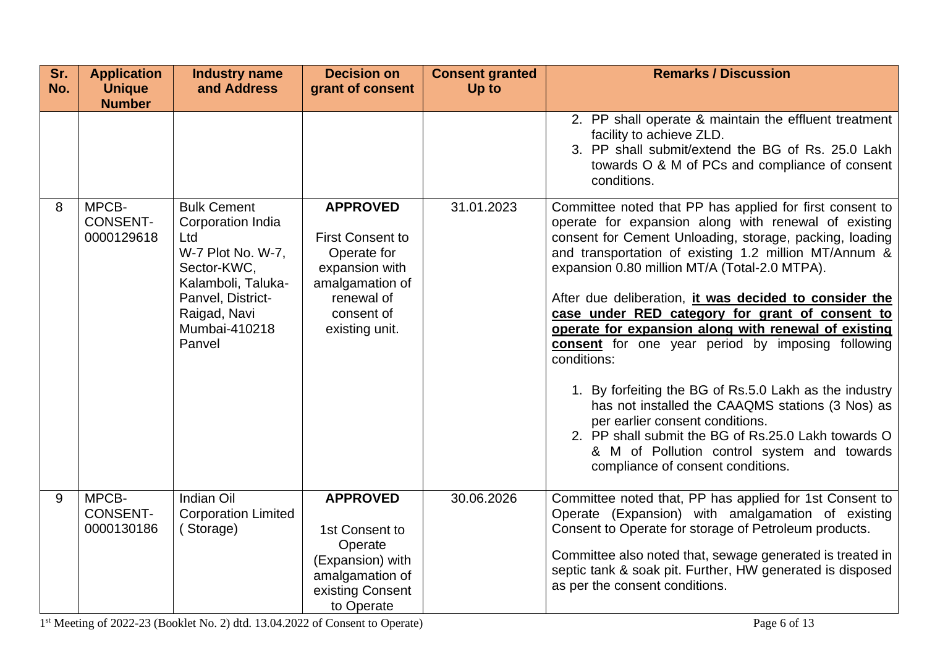| Sr.<br>No. | <b>Application</b><br><b>Unique</b><br><b>Number</b> | <b>Industry name</b><br>and Address                                                                                                                                      | <b>Decision on</b><br>grant of consent                                                                                                       | <b>Consent granted</b><br>Up to | <b>Remarks / Discussion</b>                                                                                                                                                                                                                                                                                                                                                                                                                                                                                                                                                                                                                                                                                                                                                                                                |
|------------|------------------------------------------------------|--------------------------------------------------------------------------------------------------------------------------------------------------------------------------|----------------------------------------------------------------------------------------------------------------------------------------------|---------------------------------|----------------------------------------------------------------------------------------------------------------------------------------------------------------------------------------------------------------------------------------------------------------------------------------------------------------------------------------------------------------------------------------------------------------------------------------------------------------------------------------------------------------------------------------------------------------------------------------------------------------------------------------------------------------------------------------------------------------------------------------------------------------------------------------------------------------------------|
|            |                                                      |                                                                                                                                                                          |                                                                                                                                              |                                 | 2. PP shall operate & maintain the effluent treatment<br>facility to achieve ZLD.<br>3. PP shall submit/extend the BG of Rs. 25.0 Lakh<br>towards O & M of PCs and compliance of consent<br>conditions.                                                                                                                                                                                                                                                                                                                                                                                                                                                                                                                                                                                                                    |
| 8          | MPCB-<br><b>CONSENT-</b><br>0000129618               | <b>Bulk Cement</b><br>Corporation India<br>Ltd<br>W-7 Plot No. W-7,<br>Sector-KWC,<br>Kalamboli, Taluka-<br>Panvel, District-<br>Raigad, Navi<br>Mumbai-410218<br>Panvel | <b>APPROVED</b><br><b>First Consent to</b><br>Operate for<br>expansion with<br>amalgamation of<br>renewal of<br>consent of<br>existing unit. | 31.01.2023                      | Committee noted that PP has applied for first consent to<br>operate for expansion along with renewal of existing<br>consent for Cement Unloading, storage, packing, loading<br>and transportation of existing 1.2 million MT/Annum &<br>expansion 0.80 million MT/A (Total-2.0 MTPA).<br>After due deliberation, it was decided to consider the<br>case under RED category for grant of consent to<br>operate for expansion along with renewal of existing<br>consent for one year period by imposing following<br>conditions:<br>1. By forfeiting the BG of Rs.5.0 Lakh as the industry<br>has not installed the CAAQMS stations (3 Nos) as<br>per earlier consent conditions.<br>2. PP shall submit the BG of Rs.25.0 Lakh towards O<br>& M of Pollution control system and towards<br>compliance of consent conditions. |
| 9          | MPCB-<br><b>CONSENT-</b><br>0000130186               | Indian Oil<br><b>Corporation Limited</b><br>(Storage)                                                                                                                    | <b>APPROVED</b><br>1st Consent to<br>Operate<br>(Expansion) with<br>amalgamation of<br>existing Consent<br>to Operate                        | 30.06.2026                      | Committee noted that, PP has applied for 1st Consent to<br>Operate (Expansion) with amalgamation of existing<br>Consent to Operate for storage of Petroleum products.<br>Committee also noted that, sewage generated is treated in<br>septic tank & soak pit. Further, HW generated is disposed<br>as per the consent conditions.                                                                                                                                                                                                                                                                                                                                                                                                                                                                                          |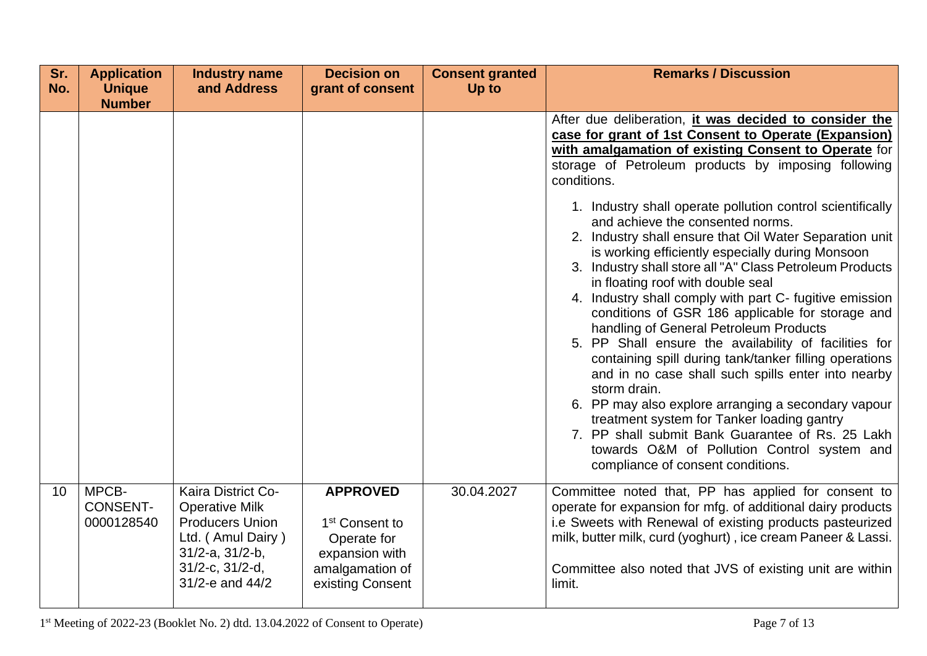| Sr.<br>No. | <b>Application</b><br><b>Unique</b>    | <b>Industry name</b><br>and Address                                                                                                                       | <b>Decision on</b><br>grant of consent                                                                                | <b>Consent granted</b><br>Up to | <b>Remarks / Discussion</b>                                                                                                                                                                                                                                                                                                                                                                                                                                                                                                                                                                                                                                                                                                                                                                                                                                                                                                                                                                                                                                                                                                                                   |
|------------|----------------------------------------|-----------------------------------------------------------------------------------------------------------------------------------------------------------|-----------------------------------------------------------------------------------------------------------------------|---------------------------------|---------------------------------------------------------------------------------------------------------------------------------------------------------------------------------------------------------------------------------------------------------------------------------------------------------------------------------------------------------------------------------------------------------------------------------------------------------------------------------------------------------------------------------------------------------------------------------------------------------------------------------------------------------------------------------------------------------------------------------------------------------------------------------------------------------------------------------------------------------------------------------------------------------------------------------------------------------------------------------------------------------------------------------------------------------------------------------------------------------------------------------------------------------------|
|            | <b>Number</b>                          |                                                                                                                                                           |                                                                                                                       |                                 | After due deliberation, it was decided to consider the<br>case for grant of 1st Consent to Operate (Expansion)<br>with amalgamation of existing Consent to Operate for<br>storage of Petroleum products by imposing following<br>conditions.<br>1. Industry shall operate pollution control scientifically<br>and achieve the consented norms.<br>2. Industry shall ensure that Oil Water Separation unit<br>is working efficiently especially during Monsoon<br>3. Industry shall store all "A" Class Petroleum Products<br>in floating roof with double seal<br>4. Industry shall comply with part C- fugitive emission<br>conditions of GSR 186 applicable for storage and<br>handling of General Petroleum Products<br>5. PP Shall ensure the availability of facilities for<br>containing spill during tank/tanker filling operations<br>and in no case shall such spills enter into nearby<br>storm drain.<br>6. PP may also explore arranging a secondary vapour<br>treatment system for Tanker loading gantry<br>7. PP shall submit Bank Guarantee of Rs. 25 Lakh<br>towards O&M of Pollution Control system and<br>compliance of consent conditions. |
| 10         | MPCB-<br><b>CONSENT-</b><br>0000128540 | Kaira District Co-<br><b>Operative Milk</b><br><b>Producers Union</b><br>Ltd. (Amul Dairy)<br>$31/2-a$ , $31/2-b$ ,<br>31/2-c, 31/2-d,<br>31/2-e and 44/2 | <b>APPROVED</b><br>1 <sup>st</sup> Consent to<br>Operate for<br>expansion with<br>amalgamation of<br>existing Consent | 30.04.2027                      | Committee noted that, PP has applied for consent to<br>operate for expansion for mfg. of additional dairy products<br>i.e Sweets with Renewal of existing products pasteurized<br>milk, butter milk, curd (yoghurt), ice cream Paneer & Lassi.<br>Committee also noted that JVS of existing unit are within<br>limit.                                                                                                                                                                                                                                                                                                                                                                                                                                                                                                                                                                                                                                                                                                                                                                                                                                         |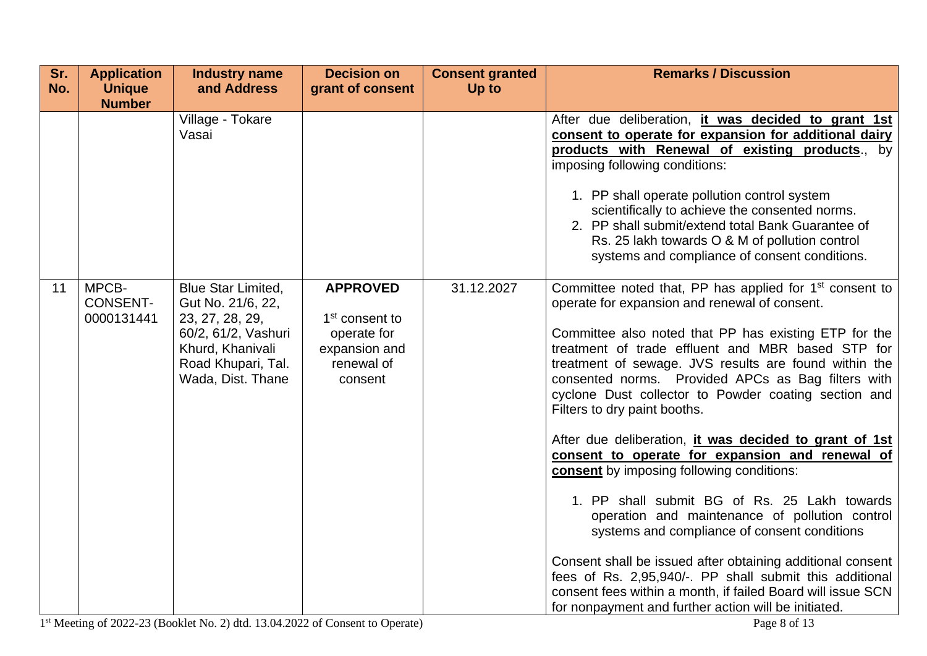| Sr.<br>No. | <b>Application</b><br><b>Unique</b><br><b>Number</b> | <b>Industry name</b><br>and Address                                                                                                                     | <b>Decision on</b><br>grant of consent                                                                 | <b>Consent granted</b><br>Up to | <b>Remarks / Discussion</b>                                                                                                                                                                                                                                                                                                                                                                                                                                                                                                                                                                                                                                                                                                                                                                                                                                                                                                                                                                                  |
|------------|------------------------------------------------------|---------------------------------------------------------------------------------------------------------------------------------------------------------|--------------------------------------------------------------------------------------------------------|---------------------------------|--------------------------------------------------------------------------------------------------------------------------------------------------------------------------------------------------------------------------------------------------------------------------------------------------------------------------------------------------------------------------------------------------------------------------------------------------------------------------------------------------------------------------------------------------------------------------------------------------------------------------------------------------------------------------------------------------------------------------------------------------------------------------------------------------------------------------------------------------------------------------------------------------------------------------------------------------------------------------------------------------------------|
|            |                                                      | Village - Tokare<br>Vasai                                                                                                                               |                                                                                                        |                                 | After due deliberation, it was decided to grant 1st<br>consent to operate for expansion for additional dairy<br>products with Renewal of existing products., by<br>imposing following conditions:<br>1. PP shall operate pollution control system<br>scientifically to achieve the consented norms.<br>2. PP shall submit/extend total Bank Guarantee of<br>Rs. 25 lakh towards O & M of pollution control<br>systems and compliance of consent conditions.                                                                                                                                                                                                                                                                                                                                                                                                                                                                                                                                                  |
| 11         | MPCB-<br><b>CONSENT-</b><br>0000131441               | <b>Blue Star Limited,</b><br>Gut No. 21/6, 22,<br>23, 27, 28, 29,<br>60/2, 61/2, Vashuri<br>Khurd, Khanivali<br>Road Khupari, Tal.<br>Wada, Dist. Thane | <b>APPROVED</b><br>1 <sup>st</sup> consent to<br>operate for<br>expansion and<br>renewal of<br>consent | 31.12.2027                      | Committee noted that, PP has applied for 1 <sup>st</sup> consent to<br>operate for expansion and renewal of consent.<br>Committee also noted that PP has existing ETP for the<br>treatment of trade effluent and MBR based STP for<br>treatment of sewage. JVS results are found within the<br>consented norms. Provided APCs as Bag filters with<br>cyclone Dust collector to Powder coating section and<br>Filters to dry paint booths.<br>After due deliberation, it was decided to grant of 1st<br>consent to operate for expansion and renewal of<br><b>consent</b> by imposing following conditions:<br>1. PP shall submit BG of Rs. 25 Lakh towards<br>operation and maintenance of pollution control<br>systems and compliance of consent conditions<br>Consent shall be issued after obtaining additional consent<br>fees of Rs. 2,95,940/-. PP shall submit this additional<br>consent fees within a month, if failed Board will issue SCN<br>for nonpayment and further action will be initiated. |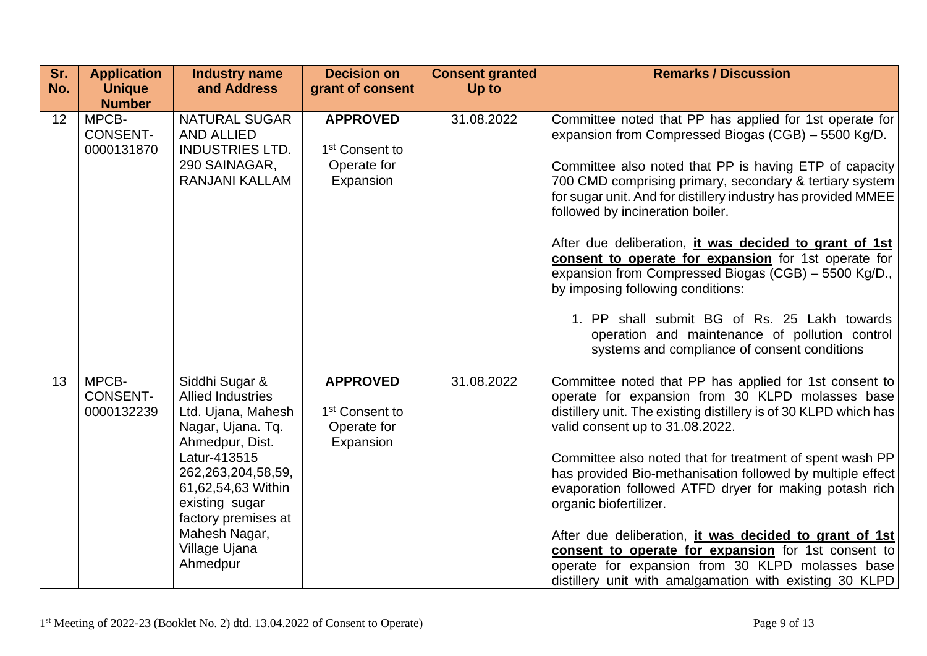| Sr.<br>No. | <b>Application</b><br><b>Unique</b><br><b>Number</b> | <b>Industry name</b><br>and Address                                                                                                                                                                                                                             | <b>Decision on</b><br>grant of consent                                    | <b>Consent granted</b><br>Up to | <b>Remarks / Discussion</b>                                                                                                                                                                                                                                                                                                                                                                                                                                                                                                                                                                                                                                                                               |
|------------|------------------------------------------------------|-----------------------------------------------------------------------------------------------------------------------------------------------------------------------------------------------------------------------------------------------------------------|---------------------------------------------------------------------------|---------------------------------|-----------------------------------------------------------------------------------------------------------------------------------------------------------------------------------------------------------------------------------------------------------------------------------------------------------------------------------------------------------------------------------------------------------------------------------------------------------------------------------------------------------------------------------------------------------------------------------------------------------------------------------------------------------------------------------------------------------|
| 12         | MPCB-<br><b>CONSENT-</b><br>0000131870               | <b>NATURAL SUGAR</b><br><b>AND ALLIED</b><br><b>INDUSTRIES LTD.</b><br>290 SAINAGAR,<br>RANJANI KALLAM                                                                                                                                                          | <b>APPROVED</b><br>1 <sup>st</sup> Consent to<br>Operate for<br>Expansion | 31.08.2022                      | Committee noted that PP has applied for 1st operate for<br>expansion from Compressed Biogas (CGB) – 5500 Kg/D.<br>Committee also noted that PP is having ETP of capacity<br>700 CMD comprising primary, secondary & tertiary system<br>for sugar unit. And for distillery industry has provided MMEE<br>followed by incineration boiler.<br>After due deliberation, it was decided to grant of 1st<br>consent to operate for expansion for 1st operate for<br>expansion from Compressed Biogas (CGB) - 5500 Kg/D.,<br>by imposing following conditions:<br>1. PP shall submit BG of Rs. 25 Lakh towards<br>operation and maintenance of pollution control<br>systems and compliance of consent conditions |
| 13         | MPCB-<br><b>CONSENT-</b><br>0000132239               | Siddhi Sugar &<br><b>Allied Industries</b><br>Ltd. Ujana, Mahesh<br>Nagar, Ujana. Tq.<br>Ahmedpur, Dist.<br>Latur-413515<br>262, 263, 204, 58, 59,<br>61,62,54,63 Within<br>existing sugar<br>factory premises at<br>Mahesh Nagar,<br>Village Ujana<br>Ahmedpur | <b>APPROVED</b><br>1 <sup>st</sup> Consent to<br>Operate for<br>Expansion | 31.08.2022                      | Committee noted that PP has applied for 1st consent to<br>operate for expansion from 30 KLPD molasses base<br>distillery unit. The existing distillery is of 30 KLPD which has<br>valid consent up to 31.08.2022.<br>Committee also noted that for treatment of spent wash PP<br>has provided Bio-methanisation followed by multiple effect<br>evaporation followed ATFD dryer for making potash rich<br>organic biofertilizer.<br>After due deliberation, <i>it was decided to grant of 1st</i><br>consent to operate for expansion for 1st consent to<br>operate for expansion from 30 KLPD molasses base<br>distillery unit with amalgamation with existing 30 KLPD                                    |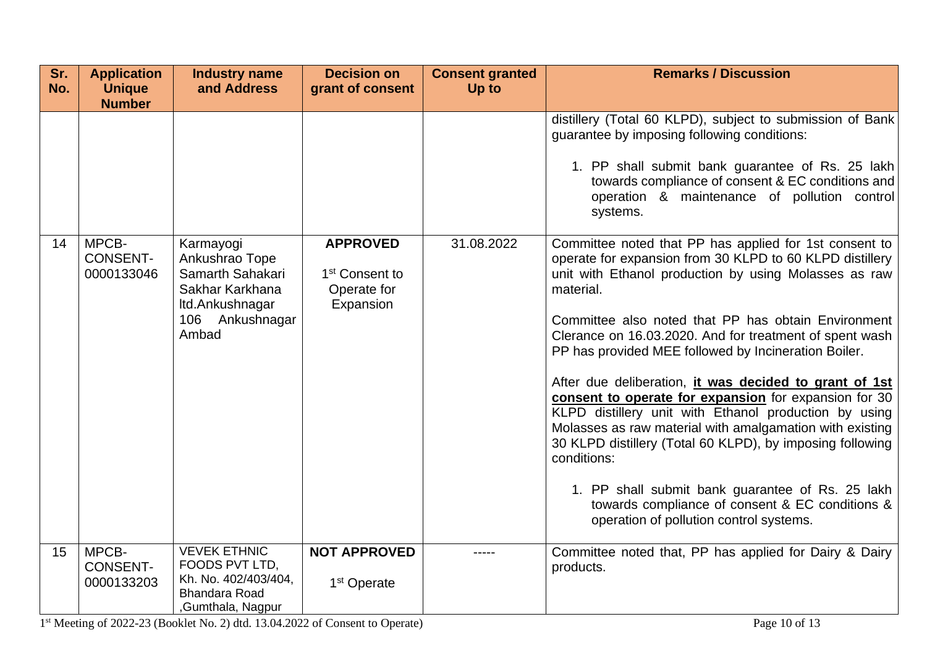| Sr.<br>No. | <b>Application</b><br><b>Unique</b><br><b>Number</b> | <b>Industry name</b><br>and Address                                                                               | <b>Decision on</b><br>grant of consent                                    | <b>Consent granted</b><br>Up to | <b>Remarks / Discussion</b>                                                                                                                                                                                                                                                                                                                                                                                                                                                                                                                                                                                                                                                                                                                                                                                                                     |
|------------|------------------------------------------------------|-------------------------------------------------------------------------------------------------------------------|---------------------------------------------------------------------------|---------------------------------|-------------------------------------------------------------------------------------------------------------------------------------------------------------------------------------------------------------------------------------------------------------------------------------------------------------------------------------------------------------------------------------------------------------------------------------------------------------------------------------------------------------------------------------------------------------------------------------------------------------------------------------------------------------------------------------------------------------------------------------------------------------------------------------------------------------------------------------------------|
|            |                                                      |                                                                                                                   |                                                                           |                                 | distillery (Total 60 KLPD), subject to submission of Bank<br>guarantee by imposing following conditions:<br>1. PP shall submit bank guarantee of Rs. 25 lakh<br>towards compliance of consent & EC conditions and<br>operation & maintenance of pollution control<br>systems.                                                                                                                                                                                                                                                                                                                                                                                                                                                                                                                                                                   |
| 14         | MPCB-<br><b>CONSENT-</b><br>0000133046               | Karmayogi<br>Ankushrao Tope<br>Samarth Sahakari<br>Sakhar Karkhana<br>Itd.Ankushnagar<br>106 Ankushnagar<br>Ambad | <b>APPROVED</b><br>1 <sup>st</sup> Consent to<br>Operate for<br>Expansion | 31.08.2022                      | Committee noted that PP has applied for 1st consent to<br>operate for expansion from 30 KLPD to 60 KLPD distillery<br>unit with Ethanol production by using Molasses as raw<br>material.<br>Committee also noted that PP has obtain Environment<br>Clerance on 16.03.2020. And for treatment of spent wash<br>PP has provided MEE followed by Incineration Boiler.<br>After due deliberation, <i>it was decided to grant of 1st</i><br>consent to operate for expansion for expansion for 30<br>KLPD distillery unit with Ethanol production by using<br>Molasses as raw material with amalgamation with existing<br>30 KLPD distillery (Total 60 KLPD), by imposing following<br>conditions:<br>1. PP shall submit bank guarantee of Rs. 25 lakh<br>towards compliance of consent & EC conditions &<br>operation of pollution control systems. |
| 15         | MPCB-<br><b>CONSENT-</b><br>0000133203               | <b>VEVEK ETHNIC</b><br>FOODS PVT LTD,<br>Kh. No. 402/403/404,<br><b>Bhandara Road</b><br>,Gumthala, Nagpur        | <b>NOT APPROVED</b><br>1 <sup>st</sup> Operate                            | -----                           | Committee noted that, PP has applied for Dairy & Dairy<br>products.                                                                                                                                                                                                                                                                                                                                                                                                                                                                                                                                                                                                                                                                                                                                                                             |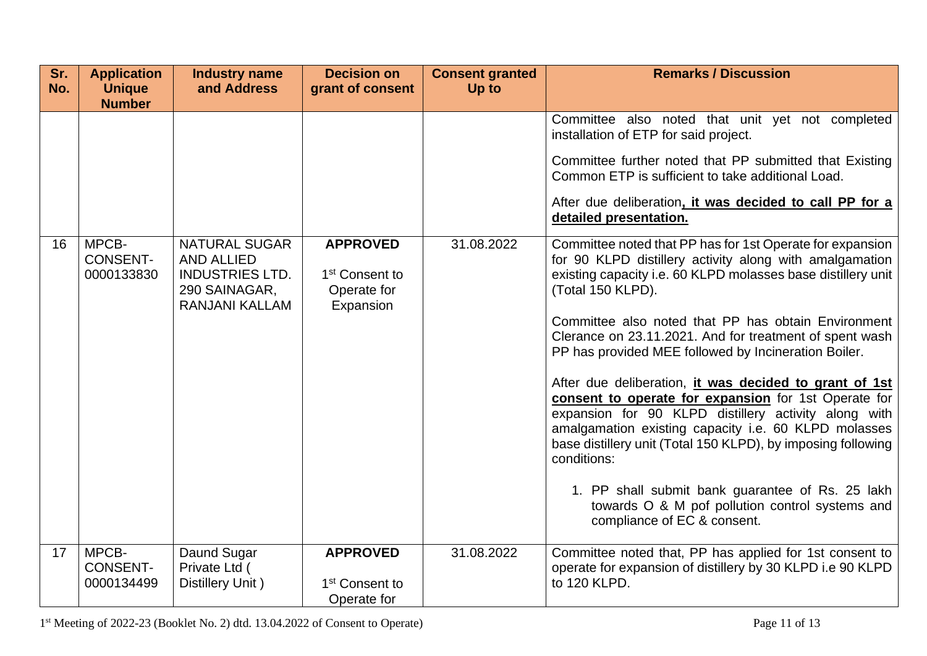| Sr.<br>No. | <b>Application</b><br><b>Unique</b>                     | <b>Industry name</b><br>and Address                                                                    | <b>Decision on</b><br>grant of consent                                    | <b>Consent granted</b><br>Up to | <b>Remarks / Discussion</b>                                                                                                                                                                                                                                                                                                                                                                                                                                                                                                                                                                                                                                                                                                                                                                                                                                                                                                                                                                                                                                                                                                                         |
|------------|---------------------------------------------------------|--------------------------------------------------------------------------------------------------------|---------------------------------------------------------------------------|---------------------------------|-----------------------------------------------------------------------------------------------------------------------------------------------------------------------------------------------------------------------------------------------------------------------------------------------------------------------------------------------------------------------------------------------------------------------------------------------------------------------------------------------------------------------------------------------------------------------------------------------------------------------------------------------------------------------------------------------------------------------------------------------------------------------------------------------------------------------------------------------------------------------------------------------------------------------------------------------------------------------------------------------------------------------------------------------------------------------------------------------------------------------------------------------------|
| 16         | <b>Number</b><br>MPCB-<br><b>CONSENT-</b><br>0000133830 | <b>NATURAL SUGAR</b><br><b>AND ALLIED</b><br><b>INDUSTRIES LTD.</b><br>290 SAINAGAR,<br>RANJANI KALLAM | <b>APPROVED</b><br>1 <sup>st</sup> Consent to<br>Operate for<br>Expansion | 31.08.2022                      | Committee also noted that unit yet not completed<br>installation of ETP for said project.<br>Committee further noted that PP submitted that Existing<br>Common ETP is sufficient to take additional Load.<br>After due deliberation, it was decided to call PP for a<br>detailed presentation.<br>Committee noted that PP has for 1st Operate for expansion<br>for 90 KLPD distillery activity along with amalgamation<br>existing capacity i.e. 60 KLPD molasses base distillery unit<br>(Total 150 KLPD).<br>Committee also noted that PP has obtain Environment<br>Clerance on 23.11.2021. And for treatment of spent wash<br>PP has provided MEE followed by Incineration Boiler.<br>After due deliberation, <i>it was decided to grant of 1st</i><br>consent to operate for expansion for 1st Operate for<br>expansion for 90 KLPD distillery activity along with<br>amalgamation existing capacity i.e. 60 KLPD molasses<br>base distillery unit (Total 150 KLPD), by imposing following<br>conditions:<br>1. PP shall submit bank guarantee of Rs. 25 lakh<br>towards O & M pof pollution control systems and<br>compliance of EC & consent. |
| 17         | MPCB-<br><b>CONSENT-</b><br>0000134499                  | Daund Sugar<br>Private Ltd (<br>Distillery Unit)                                                       | <b>APPROVED</b><br>1 <sup>st</sup> Consent to<br>Operate for              | 31.08.2022                      | Committee noted that, PP has applied for 1st consent to<br>operate for expansion of distillery by 30 KLPD i.e 90 KLPD<br>to 120 KLPD.                                                                                                                                                                                                                                                                                                                                                                                                                                                                                                                                                                                                                                                                                                                                                                                                                                                                                                                                                                                                               |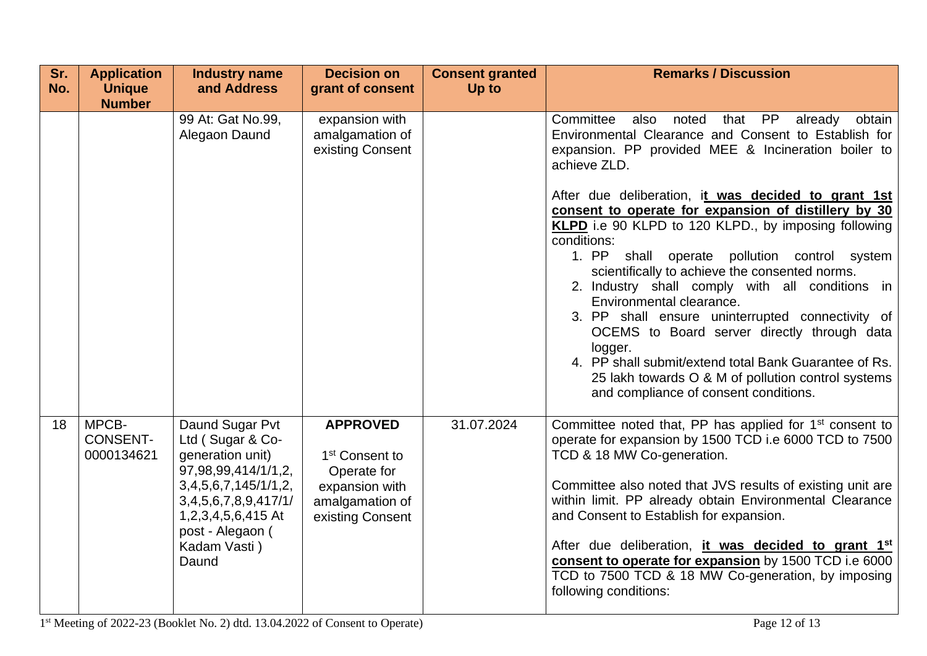| Sr.<br>No. | <b>Application</b><br><b>Unique</b>                                                    | <b>Industry name</b><br>and Address                                            | <b>Decision on</b><br>grant of consent                       | <b>Consent granted</b><br>Up to                                                                                                                                  | <b>Remarks / Discussion</b>                                                                                                                                                                                                                                                                                                                                                                                                                                                                                                                                                                                                                                      |
|------------|----------------------------------------------------------------------------------------|--------------------------------------------------------------------------------|--------------------------------------------------------------|------------------------------------------------------------------------------------------------------------------------------------------------------------------|------------------------------------------------------------------------------------------------------------------------------------------------------------------------------------------------------------------------------------------------------------------------------------------------------------------------------------------------------------------------------------------------------------------------------------------------------------------------------------------------------------------------------------------------------------------------------------------------------------------------------------------------------------------|
|            | <b>Number</b>                                                                          |                                                                                |                                                              |                                                                                                                                                                  |                                                                                                                                                                                                                                                                                                                                                                                                                                                                                                                                                                                                                                                                  |
|            |                                                                                        | 99 At: Gat No.99,<br>Alegaon Daund                                             | expansion with<br>amalgamation of<br>existing Consent        |                                                                                                                                                                  | Committee also noted<br>that PP<br>already<br>obtain<br>Environmental Clearance and Consent to Establish for<br>expansion. PP provided MEE & Incineration boiler to<br>achieve ZLD.<br>After due deliberation, it was decided to grant 1st<br>consent to operate for expansion of distillery by 30<br>KLPD i.e 90 KLPD to 120 KLPD., by imposing following<br>conditions:<br>1. PP<br>shall operate pollution control system<br>scientifically to achieve the consented norms.<br>2. Industry shall comply with all conditions in<br>Environmental clearance.<br>3. PP shall ensure uninterrupted connectivity of<br>OCEMS to Board server directly through data |
|            |                                                                                        |                                                                                |                                                              |                                                                                                                                                                  | logger.<br>4. PP shall submit/extend total Bank Guarantee of Rs.<br>25 lakh towards O & M of pollution control systems<br>and compliance of consent conditions.                                                                                                                                                                                                                                                                                                                                                                                                                                                                                                  |
| 18         | MPCB-<br><b>CONSENT-</b><br>0000134621                                                 | Daund Sugar Pvt<br>Ltd (Sugar & Co-<br>generation unit)<br>97,98,99,414/1/1,2, | <b>APPROVED</b><br>1 <sup>st</sup> Consent to<br>Operate for | 31.07.2024                                                                                                                                                       | Committee noted that, PP has applied for 1 <sup>st</sup> consent to<br>operate for expansion by 1500 TCD i.e 6000 TCD to 7500<br>TCD & 18 MW Co-generation.                                                                                                                                                                                                                                                                                                                                                                                                                                                                                                      |
|            | 3,4,5,6,7,145/1/1,2,<br>3,4,5,6,7,8,9,417/1/<br>1,2,3,4,5,6,415 At<br>post - Alegaon ( | expansion with<br>amalgamation of<br>existing Consent                          |                                                              | Committee also noted that JVS results of existing unit are<br>within limit. PP already obtain Environmental Clearance<br>and Consent to Establish for expansion. |                                                                                                                                                                                                                                                                                                                                                                                                                                                                                                                                                                                                                                                                  |
|            |                                                                                        | Kadam Vasti)<br>Daund                                                          |                                                              |                                                                                                                                                                  | After due deliberation, it was decided to grant 1st<br>consent to operate for expansion by 1500 TCD i.e 6000<br>TCD to 7500 TCD & 18 MW Co-generation, by imposing<br>following conditions:                                                                                                                                                                                                                                                                                                                                                                                                                                                                      |